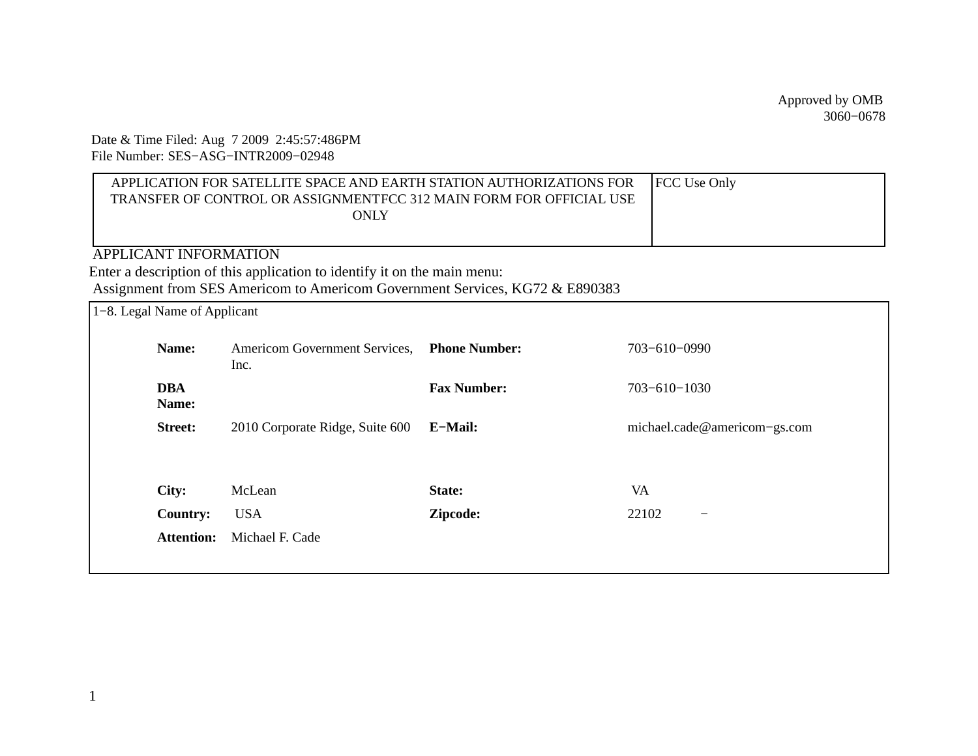Date & Time Filed: Aug 7 2009 2:45:57:486PM File Number: SES−ASG−INTR2009−02948

| APPLICATION FOR SATELLITE SPACE AND EARTH STATION AUTHORIZATIONS FOR | <b>FCC</b> Use Only |
|----------------------------------------------------------------------|---------------------|
| TRANSFER OF CONTROL OR ASSIGNMENTFCC 312 MAIN FORM FOR OFFICIAL USE  |                     |
| ONLY                                                                 |                     |
|                                                                      |                     |

APPLICANT INFORMATION Enter a description of this application to identify it on the main menu: Assignment from SES Americom to Americom Government Services, KG72 & E890383

| 1–8. Legal Name of Applicant |                                       |                      |                              |
|------------------------------|---------------------------------------|----------------------|------------------------------|
| Name:                        | Americom Government Services,<br>Inc. | <b>Phone Number:</b> | 703-610-0990                 |
| DBA<br>Name:                 |                                       | <b>Fax Number:</b>   | $703 - 610 - 1030$           |
| <b>Street:</b>               | 2010 Corporate Ridge, Suite 600       | E-Mail:              | michael.cade@americom-gs.com |
|                              |                                       |                      |                              |
| City:                        | McLean                                | State:               | VA                           |
| <b>Country:</b>              | <b>USA</b>                            | Zipcode:             | 22102                        |
| <b>Attention:</b>            | Michael F. Cade                       |                      |                              |
|                              |                                       |                      |                              |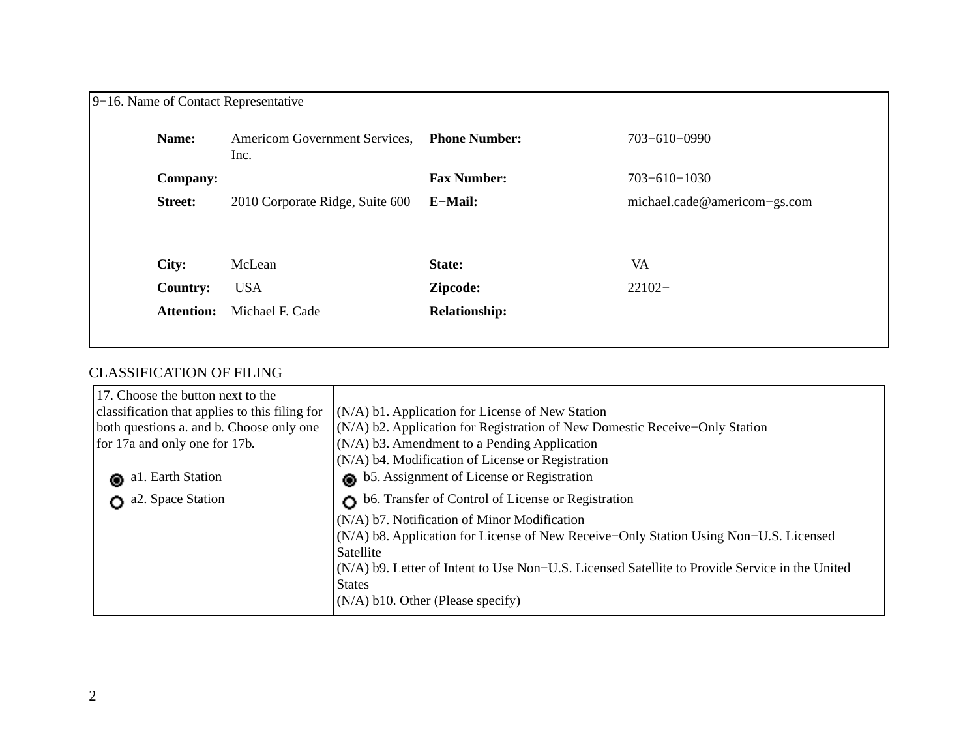| 9–16. Name of Contact Representative |                                       |                      |                              |  |  |
|--------------------------------------|---------------------------------------|----------------------|------------------------------|--|--|
| Name:                                | Americom Government Services,<br>Inc. | <b>Phone Number:</b> | 703-610-0990                 |  |  |
| <b>Company:</b>                      |                                       | <b>Fax Number:</b>   | $703 - 610 - 1030$           |  |  |
| <b>Street:</b>                       | 2010 Corporate Ridge, Suite 600       | E-Mail:              | michael.cade@americom-gs.com |  |  |
|                                      |                                       |                      |                              |  |  |
| City:                                | McLean                                | State:               | VA                           |  |  |
| <b>Country:</b>                      | <b>USA</b>                            | Zipcode:             | $22102 -$                    |  |  |
| <b>Attention:</b>                    | Michael F. Cade                       | <b>Relationship:</b> |                              |  |  |
|                                      |                                       |                      |                              |  |  |

# CLASSIFICATION OF FILING

| 17. Choose the button next to the              |                                                                                                |  |  |
|------------------------------------------------|------------------------------------------------------------------------------------------------|--|--|
| classification that applies to this filing for | (N/A) b1. Application for License of New Station                                               |  |  |
| both questions a. and b. Choose only one       | (N/A) b2. Application for Registration of New Domestic Receive-Only Station                    |  |  |
| for 17a and only one for 17b.                  | (N/A) b3. Amendment to a Pending Application                                                   |  |  |
|                                                | (N/A) b4. Modification of License or Registration                                              |  |  |
| al. Earth Station<br>⋒                         | b5. Assignment of License or Registration                                                      |  |  |
| a2. Space Station                              | b6. Transfer of Control of License or Registration                                             |  |  |
|                                                | (N/A) b7. Notification of Minor Modification                                                   |  |  |
|                                                | (N/A) b8. Application for License of New Receive-Only Station Using Non-U.S. Licensed          |  |  |
|                                                | Satellite                                                                                      |  |  |
|                                                | (N/A) b9. Letter of Intent to Use Non–U.S. Licensed Satellite to Provide Service in the United |  |  |
|                                                | <b>States</b>                                                                                  |  |  |
|                                                | $(N/A)$ b10. Other (Please specify)                                                            |  |  |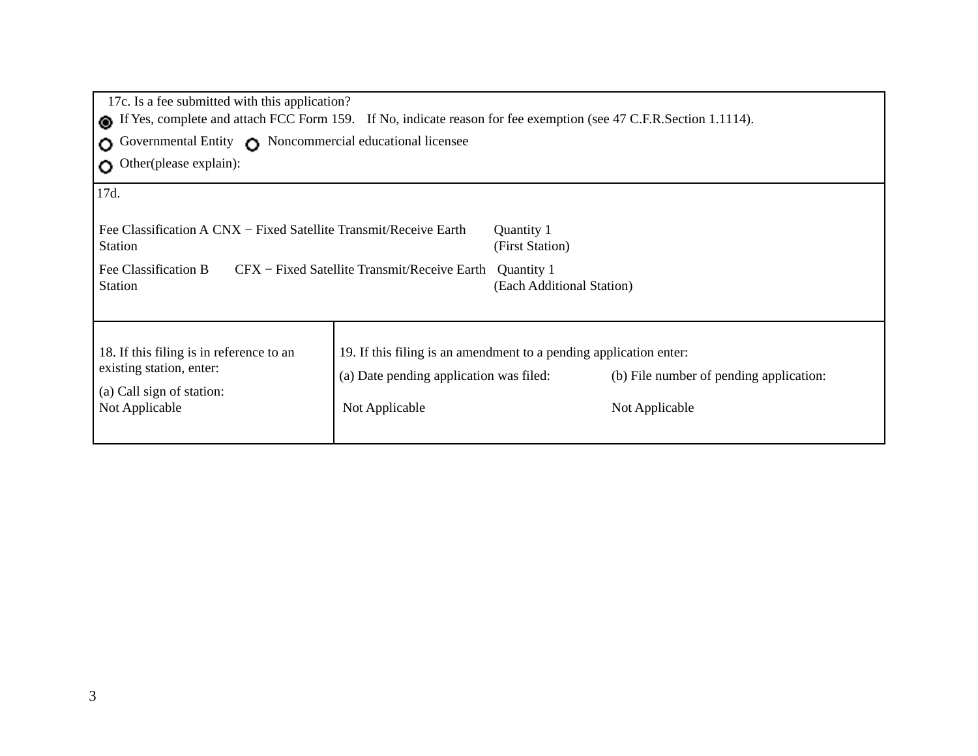| 17c. Is a fee submitted with this application?<br>If Yes, complete and attach FCC Form 159. If No, indicate reason for fee exemption (see 47 C.F.R.Section 1.1114). |                                                                                                                                 |                                                                          |                                                           |
|---------------------------------------------------------------------------------------------------------------------------------------------------------------------|---------------------------------------------------------------------------------------------------------------------------------|--------------------------------------------------------------------------|-----------------------------------------------------------|
| Governmental Entity Noncommercial educational licensee<br>$\Omega$<br>Other(please explain):<br>$\Omega$                                                            |                                                                                                                                 |                                                                          |                                                           |
| 17d.<br>Fee Classification A CNX – Fixed Satellite Transmit/Receive Earth<br><b>Station</b><br>Fee Classification B<br><b>Station</b>                               | CFX – Fixed Satellite Transmit/Receive Earth                                                                                    | Quantity 1<br>(First Station)<br>Quantity 1<br>(Each Additional Station) |                                                           |
| 18. If this filing is in reference to an<br>existing station, enter:<br>(a) Call sign of station:<br>Not Applicable                                                 | 19. If this filing is an amendment to a pending application enter:<br>(a) Date pending application was filed:<br>Not Applicable |                                                                          | (b) File number of pending application:<br>Not Applicable |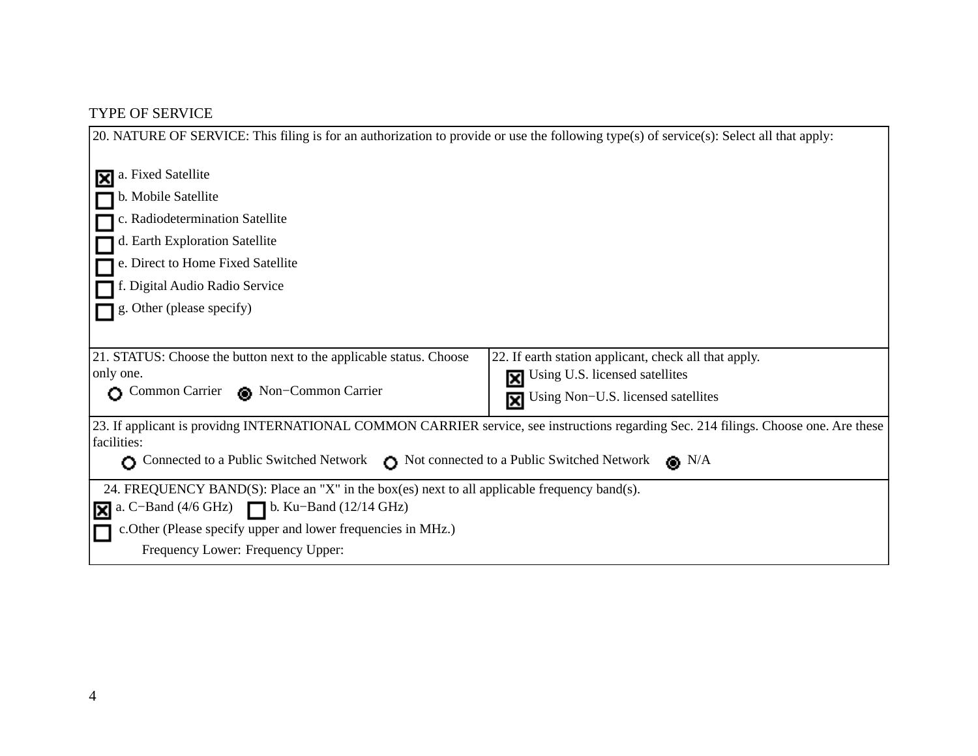# TYPE OF SERVICE

| 20. NATURE OF SERVICE: This filing is for an authorization to provide or use the following type(s) of service(s): Select all that apply:             |
|------------------------------------------------------------------------------------------------------------------------------------------------------|
|                                                                                                                                                      |
| a. Fixed Satellite<br>M                                                                                                                              |
| b. Mobile Satellite                                                                                                                                  |
| c. Radiodetermination Satellite                                                                                                                      |
| d. Earth Exploration Satellite                                                                                                                       |
| e. Direct to Home Fixed Satellite                                                                                                                    |
| f. Digital Audio Radio Service                                                                                                                       |
| g. Other (please specify)                                                                                                                            |
|                                                                                                                                                      |
| 21. STATUS: Choose the button next to the applicable status. Choose<br>22. If earth station applicant, check all that apply.                         |
| only one.<br><b>N</b> Using U.S. licensed satellites                                                                                                 |
| Common Carrier Non-Common Carrier<br>Using Non-U.S. licensed satellites<br>冈                                                                         |
| 23. If applicant is providng INTERNATIONAL COMMON CARRIER service, see instructions regarding Sec. 214 filings. Choose one. Are these<br>facilities: |
| Connected to a Public Switched Network Network Network Network Network<br>$\bullet$ N/A<br>$\Omega$                                                  |
| 24. FREQUENCY BAND(S): Place an "X" in the box(es) next to all applicable frequency band(s).                                                         |
| a. C-Band $(4/6 \text{ GHz})$ $\Box$ b. Ku-Band $(12/14 \text{ GHz})$<br>冈                                                                           |
| c.Other (Please specify upper and lower frequencies in MHz.)                                                                                         |
| Frequency Lower: Frequency Upper:                                                                                                                    |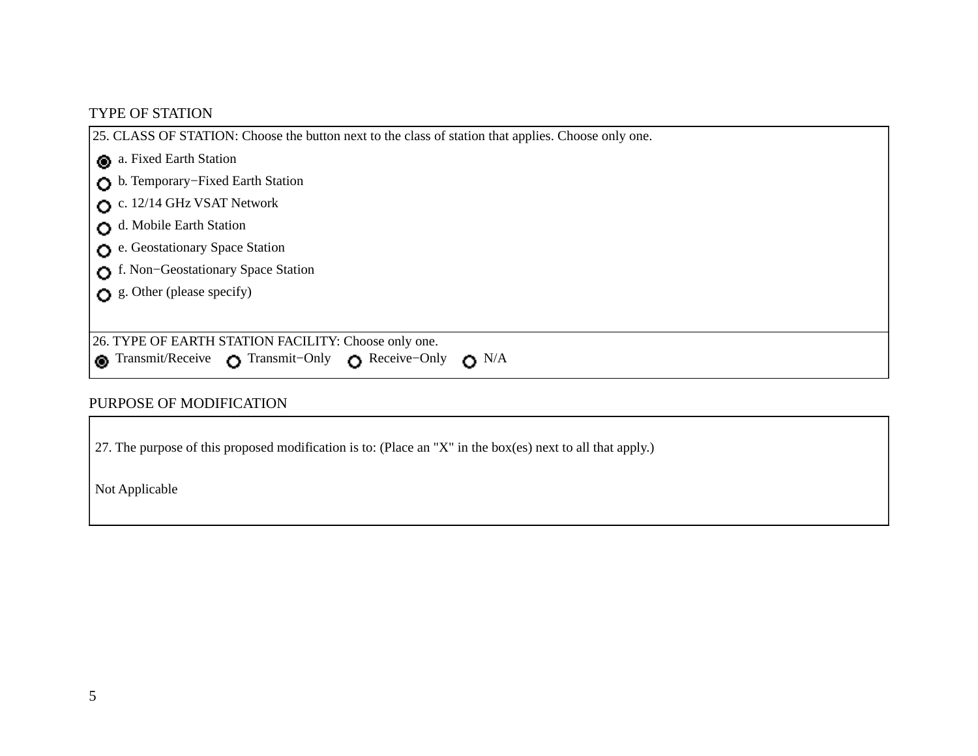### TYPE OF STATION

25. CLASS OF STATION: Choose the button next to the class of station that applies. Choose only one. a. Fixed Earth Station b. Temporary−Fixed Earth Station c. 12/14 GHz VSAT Network d. Mobile Earth Station e. Geostationary Space Station f. Non−Geostationary Space Station g. Other (please specify) 26. TYPE OF EARTH STATION FACILITY: Choose only one. **©** Transmit/Receive **O** Transmit–Only **O** Receive–Only **O** N/A

#### PURPOSE OF MODIFICATION

27. The purpose of this proposed modification is to: (Place an "X" in the box(es) next to all that apply.) 

Not Applicable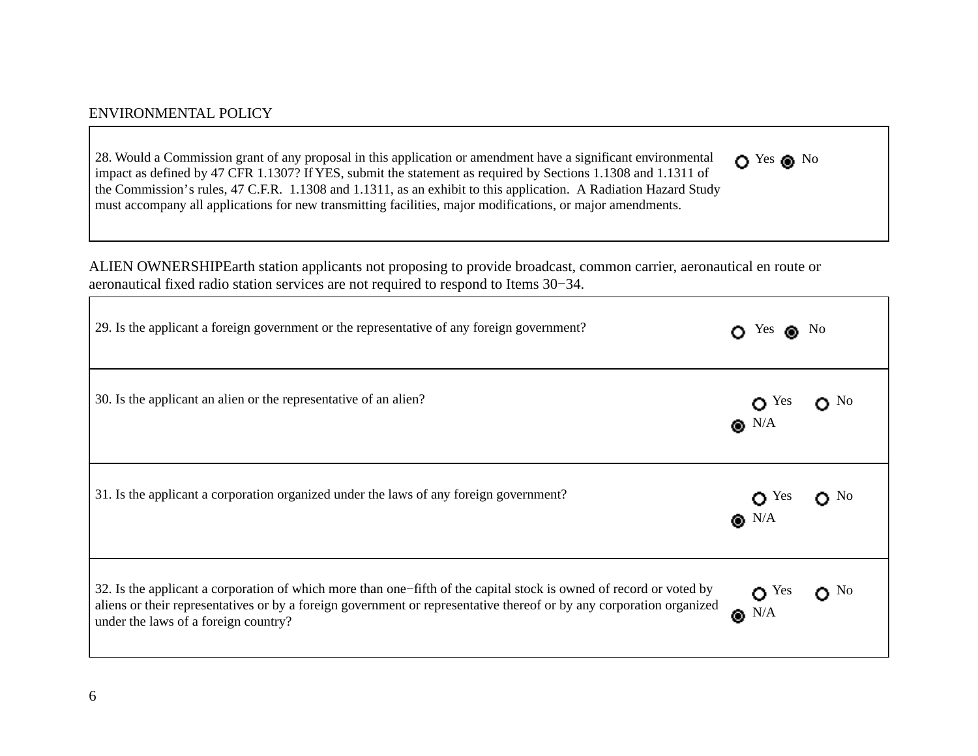#### ENVIRONMENTAL POLICY

28. Would a Commission grant of any proposal in this application or amendment have a significant environmental impact as defined by 47 CFR 1.1307? If YES, submit the statement as required by Sections 1.1308 and 1.1311 of the Commission's rules, 47 C.F.R. 1.1308 and 1.1311, as an exhibit to this application.A Radiation Hazard Study must accompany all applications for new transmitting facilities, major modifications, or major amendments. O Yes O No

ALIEN OWNERSHIP Earth station applicants not proposing to provide broadcast, common carrier, aeronautical en route or aeronautical fixed radio station services are not required to respond to Items 30−34.

| 29. Is the applicant a foreign government or the representative of any foreign government?                                                                                                                                                                                          | Yes $\bullet$ No               |                          |
|-------------------------------------------------------------------------------------------------------------------------------------------------------------------------------------------------------------------------------------------------------------------------------------|--------------------------------|--------------------------|
| 30. Is the applicant an alien or the representative of an alien?                                                                                                                                                                                                                    | $O^{Yes}$ $O^{No}$             |                          |
| 31. Is the applicant a corporation organized under the laws of any foreign government?                                                                                                                                                                                              | $\bullet$ N/A<br>$\bullet$ N/A |                          |
| 32. Is the applicant a corporation of which more than one–fifth of the capital stock is owned of record or voted by<br>aliens or their representatives or by a foreign government or representative thereof or by any corporation organized<br>under the laws of a foreign country? | $\bullet$ Yes<br>$\bullet$ N/A | $\mathbf{C}^{\text{No}}$ |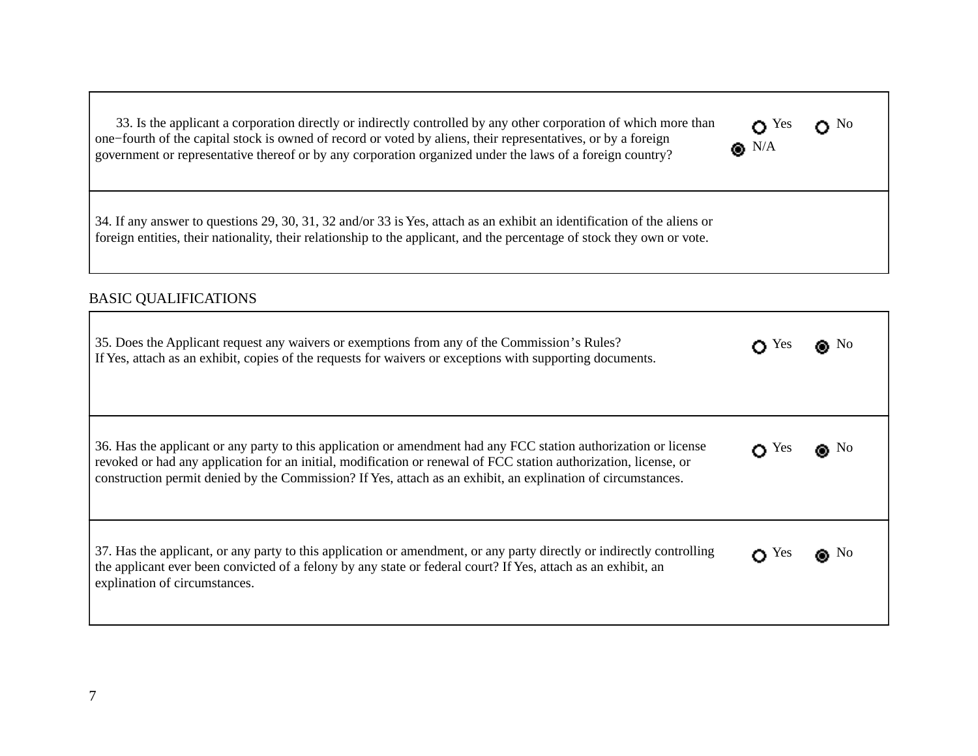| 33. Is the applicant a corporation directly or indirectly controlled by any other corporation of which more than |               | $\mathbf{O}^{\mathcal{N}}$ |
|------------------------------------------------------------------------------------------------------------------|---------------|----------------------------|
| one-fourth of the capital stock is owned of record or voted by aliens, their representatives, or by a foreign    |               |                            |
| government or representative thereof or by any corporation organized under the laws of a foreign country?        | $\bullet$ N/A |                            |

34. If any answer to questions 29, 30, 31, 32 and/or 33 is Yes, attach as an exhibit an identification of the aliens or foreign entities, their nationality, their relationship to the applicant, and the percentage of stock they own or vote. 

#### BASIC QUALIFICATIONS

| 35. Does the Applicant request any waivers or exemptions from any of the Commission's Rules?<br>If Yes, attach as an exhibit, copies of the requests for waivers or exceptions with supporting documents.                                                                                                                                            | <b>Yes</b>    |              |
|------------------------------------------------------------------------------------------------------------------------------------------------------------------------------------------------------------------------------------------------------------------------------------------------------------------------------------------------------|---------------|--------------|
| 36. Has the applicant or any party to this application or amendment had any FCC station authorization or license<br>revoked or had any application for an initial, modification or renewal of FCC station authorization, license, or<br>construction permit denied by the Commission? If Yes, attach as an exhibit, an explination of circumstances. | Yes           | $\bullet$ No |
| 37. Has the applicant, or any party to this application or amendment, or any party directly or indirectly controlling<br>the applicant ever been convicted of a felony by any state or federal court? If Yes, attach as an exhibit, an<br>explination of circumstances.                                                                              | $\bigcap$ Yes | $\bullet$ No |

 $O<sup>Yes</sup>$   $O<sup>No</sup>$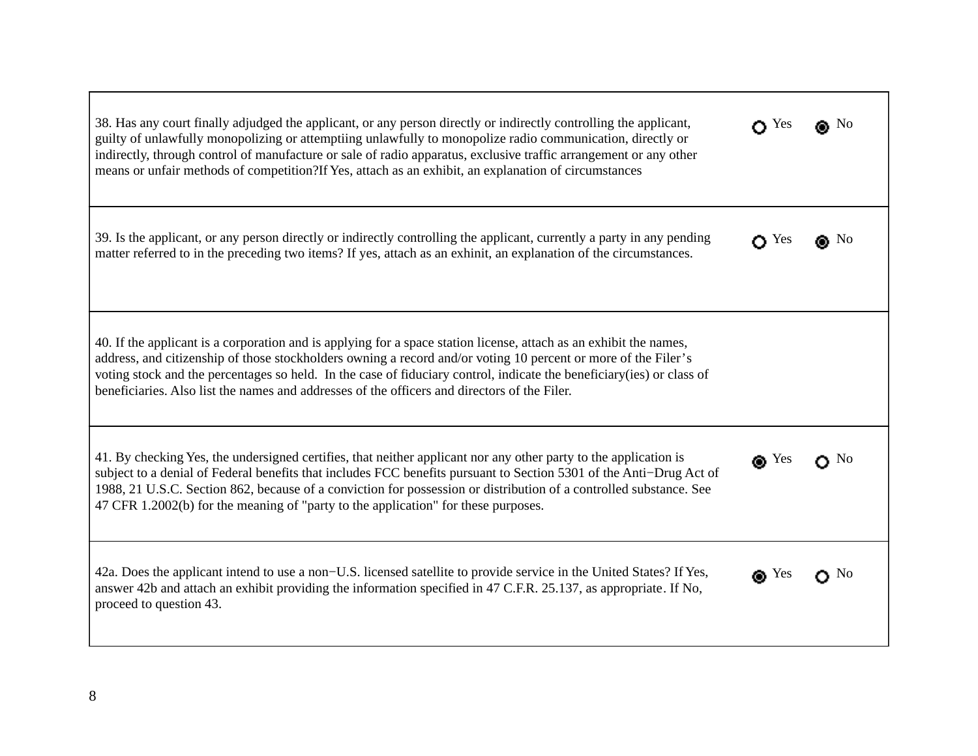| 38. Has any court finally adjudged the applicant, or any person directly or indirectly controlling the applicant,<br>guilty of unlawfully monopolizing or attemptiing unlawfully to monopolize radio communication, directly or<br>indirectly, through control of manufacture or sale of radio apparatus, exclusive traffic arrangement or any other<br>means or unfair methods of competition?If Yes, attach as an exhibit, an explanation of circumstances  | $\bigcap$ Yes | ∩ No         |
|---------------------------------------------------------------------------------------------------------------------------------------------------------------------------------------------------------------------------------------------------------------------------------------------------------------------------------------------------------------------------------------------------------------------------------------------------------------|---------------|--------------|
| 39. Is the applicant, or any person directly or indirectly controlling the applicant, currently a party in any pending<br>matter referred to in the preceding two items? If yes, attach as an exhinit, an explanation of the circumstances.                                                                                                                                                                                                                   | $\bullet$ Yes | $\bullet$ No |
| 40. If the applicant is a corporation and is applying for a space station license, attach as an exhibit the names,<br>address, and citizenship of those stockholders owning a record and/or voting 10 percent or more of the Filer's<br>voting stock and the percentages so held. In the case of fiduciary control, indicate the beneficiary(ies) or class of<br>beneficiaries. Also list the names and addresses of the officers and directors of the Filer. |               |              |
| 41. By checking Yes, the undersigned certifies, that neither applicant nor any other party to the application is<br>subject to a denial of Federal benefits that includes FCC benefits pursuant to Section 5301 of the Anti-Drug Act of<br>1988, 21 U.S.C. Section 862, because of a conviction for possession or distribution of a controlled substance. See<br>47 CFR 1.2002(b) for the meaning of "party to the application" for these purposes.           | $\bullet$ Yes | $\Omega$ No  |
| 42a. Does the applicant intend to use a non-U.S. licensed satellite to provide service in the United States? If Yes,<br>answer 42b and attach an exhibit providing the information specified in 47 C.F.R. 25.137, as appropriate. If No,<br>proceed to question 43.                                                                                                                                                                                           | $\bullet$ Yes | $\bullet$ No |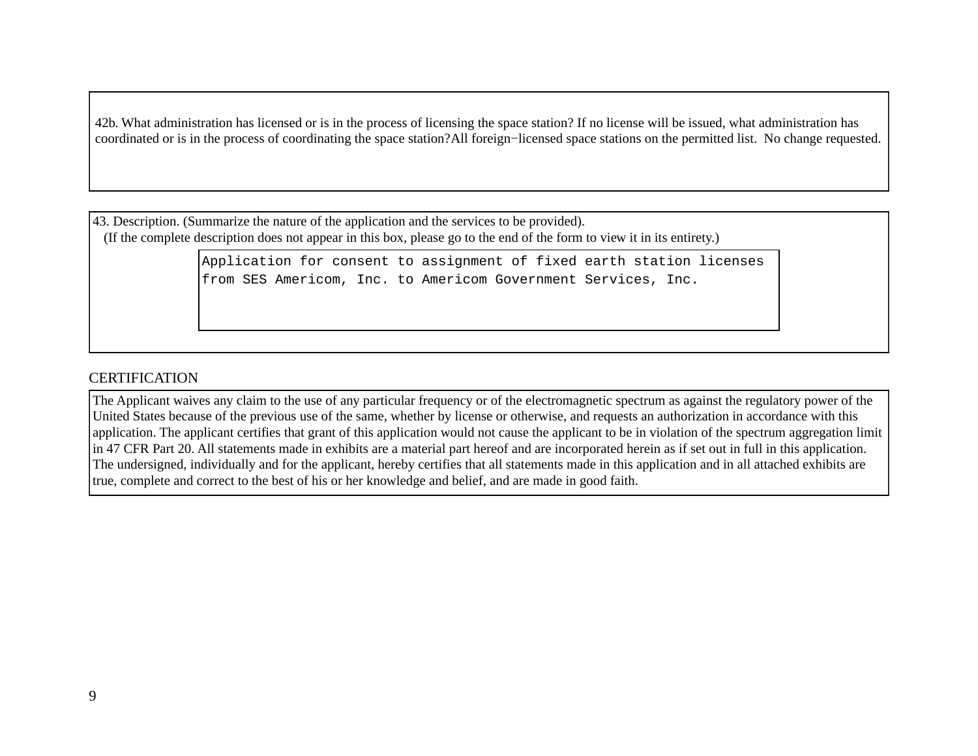42b. What administration has licensed or is in the process of licensing the space station? If no license will be issued, what administration has coordinated or is in the process of coordinating the space station?All foreign−licensed space stations on the permitted list. No change requested. 

43. Description. (Summarize the nature of the application and the services to be provided). (If the complete description does not appear in this box, please go to the end of the form to view it in its entirety.)

> Application for consent to assignment of fixed earth station licenses from SES Americom, Inc. to Americom Government Services, Inc.

### **CERTIFICATION**

The Applicant waives any claim to the use of any particular frequency or of the electromagnetic spectrum as against the regulatory power of the United States because of the previous use of the same, whether by license or otherwise, and requests an authorization in accordance with this application. The applicant certifies that grant of this application would not cause the applicant to be in violation of the spectrum aggregation limit in 47 CFR Part 20. All statements made in exhibits are a material part hereof and are incorporated herein as if set out in full in this application. The undersigned, individually and for the applicant, hereby certifies that all statements made in this application and in all attached exhibits are true, complete and correct to the best of his or her knowledge and belief, and are made in good faith.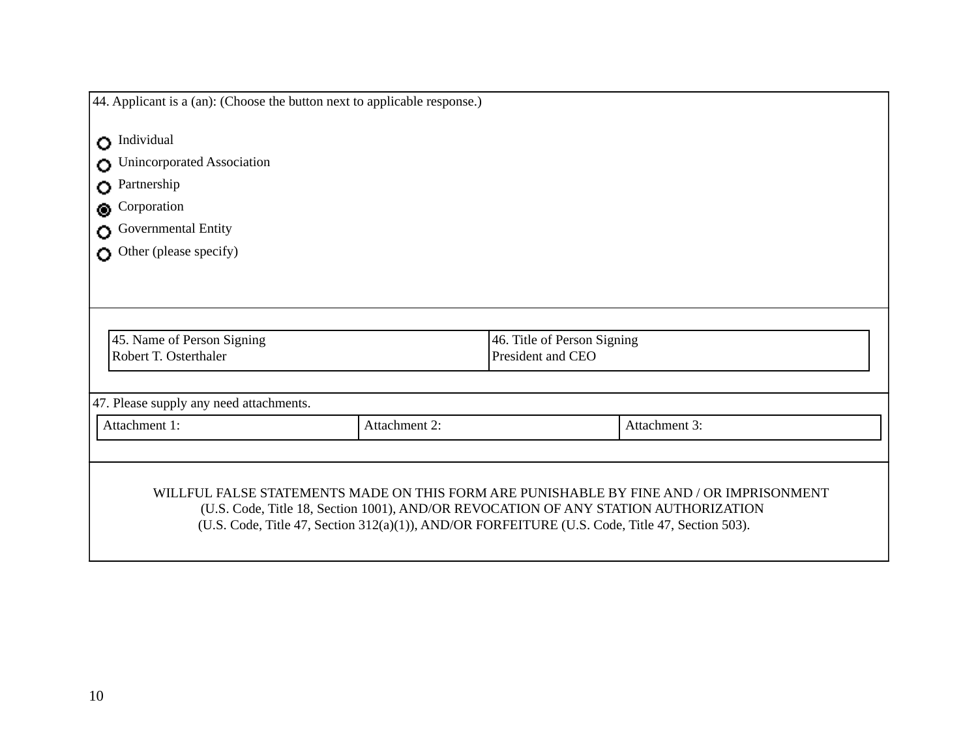| 44. Applicant is a (an): (Choose the button next to applicable response.) |               |                             |                                                                                                 |  |
|---------------------------------------------------------------------------|---------------|-----------------------------|-------------------------------------------------------------------------------------------------|--|
| <b>O</b> Individual                                                       |               |                             |                                                                                                 |  |
| Unincorporated Association<br>Ο                                           |               |                             |                                                                                                 |  |
| Partnership<br>Ō                                                          |               |                             |                                                                                                 |  |
| Corporation                                                               |               |                             |                                                                                                 |  |
| Governmental Entity                                                       |               |                             |                                                                                                 |  |
| Other (please specify)                                                    |               |                             |                                                                                                 |  |
|                                                                           |               |                             |                                                                                                 |  |
|                                                                           |               |                             |                                                                                                 |  |
|                                                                           |               |                             |                                                                                                 |  |
| 45. Name of Person Signing                                                |               | 46. Title of Person Signing |                                                                                                 |  |
| Robert T. Osterthaler                                                     |               | President and CEO           |                                                                                                 |  |
|                                                                           |               |                             |                                                                                                 |  |
| 47. Please supply any need attachments.                                   |               |                             |                                                                                                 |  |
| Attachment 1:                                                             | Attachment 2: |                             | Attachment 3:                                                                                   |  |
|                                                                           |               |                             |                                                                                                 |  |
|                                                                           |               |                             |                                                                                                 |  |
|                                                                           |               |                             | WILLFUL FALSE STATEMENTS MADE ON THIS FORM ARE PUNISHABLE BY FINE AND / OR IMPRISONMENT         |  |
|                                                                           |               |                             | (U.S. Code, Title 18, Section 1001), AND/OR REVOCATION OF ANY STATION AUTHORIZATION             |  |
|                                                                           |               |                             | (U.S. Code, Title 47, Section 312(a)(1)), AND/OR FORFEITURE (U.S. Code, Title 47, Section 503). |  |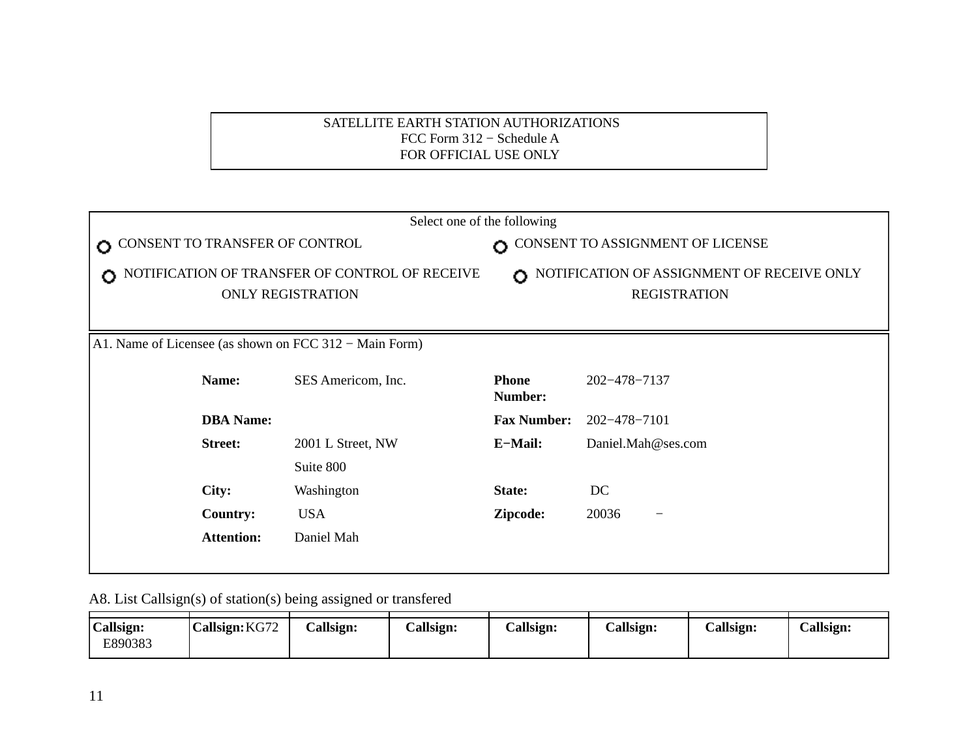### SATELLITE EARTH STATION AUTHORIZATIONS FCC Form 312 − Schedule A FOR OFFICIAL USE ONLY

| Select one of the following                                                     |                    |                                                                         |                    |  |  |
|---------------------------------------------------------------------------------|--------------------|-------------------------------------------------------------------------|--------------------|--|--|
| CONSENT TO TRANSFER OF CONTROL<br>$\bullet$                                     |                    | CONSENT TO ASSIGNMENT OF LICENSE                                        |                    |  |  |
| NOTIFICATION OF TRANSFER OF CONTROL OF RECEIVE<br>Ω<br><b>ONLY REGISTRATION</b> |                    | NOTIFICATION OF ASSIGNMENT OF RECEIVE ONLY<br>Ω.<br><b>REGISTRATION</b> |                    |  |  |
| A1. Name of Licensee (as shown on FCC 312 – Main Form)                          |                    |                                                                         |                    |  |  |
| Name:                                                                           | SES Americom, Inc. | <b>Phone</b><br>Number:                                                 | 202-478-7137       |  |  |
| <b>DBA</b> Name:                                                                |                    | <b>Fax Number:</b>                                                      | 202-478-7101       |  |  |
| <b>Street:</b>                                                                  | 2001 L Street, NW  | E-Mail:                                                                 | Daniel.Mah@ses.com |  |  |
|                                                                                 | Suite 800          |                                                                         |                    |  |  |
| City:                                                                           | Washington         | State:                                                                  | DC                 |  |  |
| <b>Country:</b>                                                                 | <b>USA</b>         | Zipcode:                                                                | 20036              |  |  |
| <b>Attention:</b>                                                               | Daniel Mah         |                                                                         |                    |  |  |
|                                                                                 |                    |                                                                         |                    |  |  |

A8. List Callsign(s) of station(s) being assigned or transfered

| Callsign: | Callsign: KG72 | Callsign: | Callsign: | Callsign: | Callsign: | Callsign: | Callsign: |
|-----------|----------------|-----------|-----------|-----------|-----------|-----------|-----------|
| E890383   |                |           |           |           |           |           |           |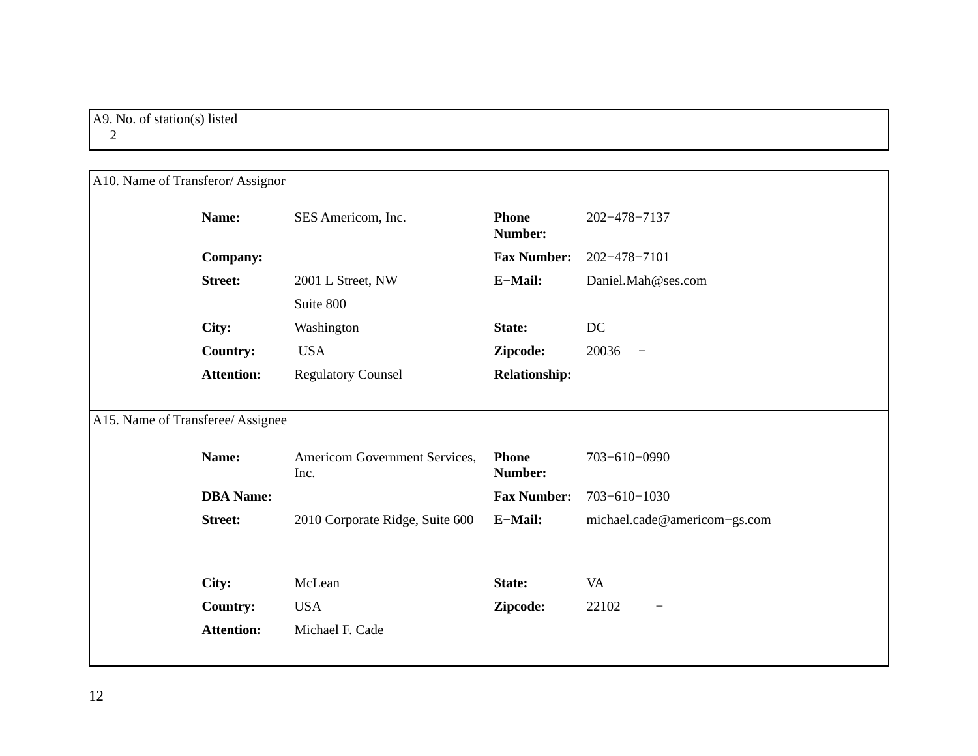| A10. Name of Transferor/Assignor  |                                       |                         |                                   |  |  |  |  |
|-----------------------------------|---------------------------------------|-------------------------|-----------------------------------|--|--|--|--|
| Name:                             | SES Americom, Inc.                    | <b>Phone</b><br>Number: | 202-478-7137                      |  |  |  |  |
| <b>Company:</b>                   |                                       | <b>Fax Number:</b>      | 202-478-7101                      |  |  |  |  |
| <b>Street:</b>                    | 2001 L Street, NW                     | E-Mail:                 | Daniel.Mah@ses.com                |  |  |  |  |
|                                   | Suite 800                             |                         |                                   |  |  |  |  |
| City:                             | Washington                            | State:                  | DC                                |  |  |  |  |
| <b>Country:</b>                   | <b>USA</b>                            | Zipcode:                | 20036<br>$\overline{\phantom{a}}$ |  |  |  |  |
| <b>Attention:</b>                 | <b>Regulatory Counsel</b>             | <b>Relationship:</b>    |                                   |  |  |  |  |
|                                   |                                       |                         |                                   |  |  |  |  |
| A15. Name of Transferee/ Assignee |                                       |                         |                                   |  |  |  |  |
| Name:                             | Americom Government Services,<br>Inc. | <b>Phone</b><br>Number: | 703-610-0990                      |  |  |  |  |
| <b>DBA</b> Name:                  |                                       | <b>Fax Number:</b>      | $703 - 610 - 1030$                |  |  |  |  |
| <b>Street:</b>                    | 2010 Corporate Ridge, Suite 600       | E-Mail:                 | michael.cade@americom-gs.com      |  |  |  |  |
|                                   |                                       |                         |                                   |  |  |  |  |
| City:                             | McLean                                | State:                  | <b>VA</b>                         |  |  |  |  |
| <b>Country:</b>                   | <b>USA</b>                            | Zipcode:                | 22102                             |  |  |  |  |
| <b>Attention:</b>                 | Michael F. Cade                       |                         |                                   |  |  |  |  |
|                                   |                                       |                         |                                   |  |  |  |  |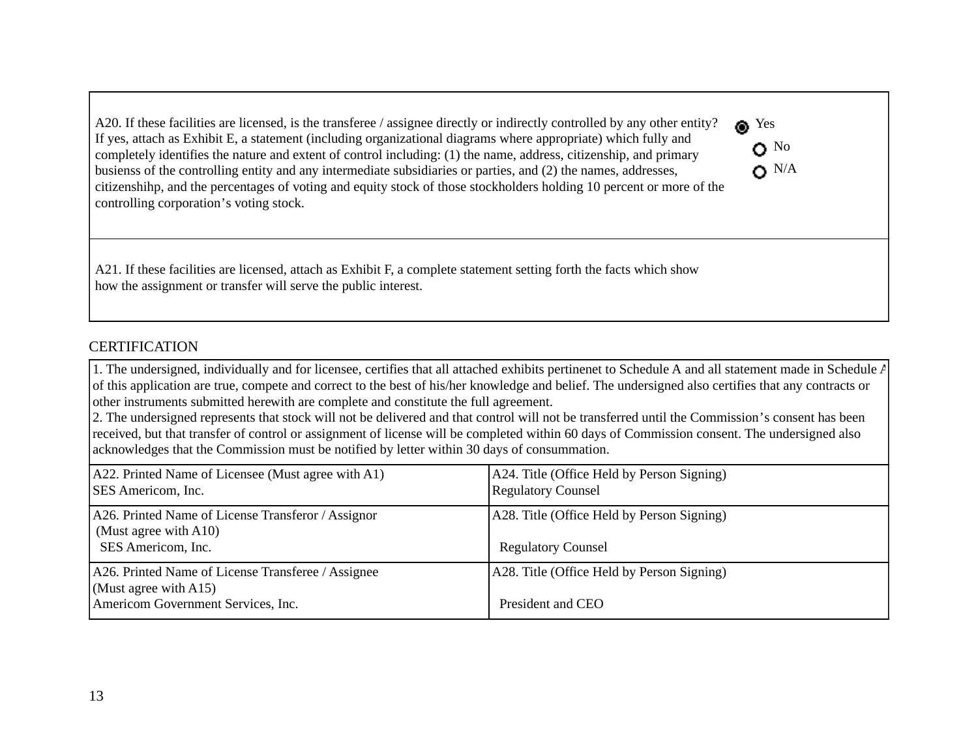A20. If these facilities are licensed, is the transferee / assignee directly or indirectly controlled by any other entity? If yes, attach as Exhibit E, a statement (including organizational diagrams where appropriate) which fully and completely identifies the nature and extent of control including: (1) the name, address, citizenship, and primary busienss of the controlling entity and any intermediate subsidiaries or parties, and (2) the names, addresses, citizenshihp, and the percentages of voting and equity stock of those stockholders holding 10 percent or more of the controlling corporation's voting stock. 

A21. If these facilities are licensed, attach as Exhibit F, a complete statement setting forth the facts which show how the assignment or transfer will serve the public interest. 

## **CERTIFICATION**

1. The undersigned, individually and for licensee, certifies that all attached exhibits pertinenet to Schedule A and all statement made in Schedule A of this application are true, compete and correct to the best of his/her knowledge and belief. The undersigned also certifies that any contracts or other instruments submitted herewith are complete and constitute the full agreement. 

<sup>Nes</sup>

 $\mathbf{O}^{\text{No}}$  $\bullet$  N/A

2. The undersigned represents that stock will not be delivered and that control will not be transferred until the Commission's consent has been received, but that transfer of control or assignment of license will be completed within 60 days of Commission consent. The undersigned also acknowledges that the Commission must be notified by letter within 30 days of consummation.

| A22. Printed Name of Licensee (Must agree with A1)<br><b>SES</b> Americom, Inc.                                   | A24. Title (Office Held by Person Signing)<br><b>Regulatory Counsel</b> |
|-------------------------------------------------------------------------------------------------------------------|-------------------------------------------------------------------------|
| A26. Printed Name of License Transferor / Assignor<br>(Must agree with $A10$ )<br>SES Americom, Inc.              | A28. Title (Office Held by Person Signing)<br><b>Regulatory Counsel</b> |
| A26. Printed Name of License Transferee / Assignee<br>(Must agree with A15)<br>Americom Government Services, Inc. | A28. Title (Office Held by Person Signing)<br>President and CEO         |